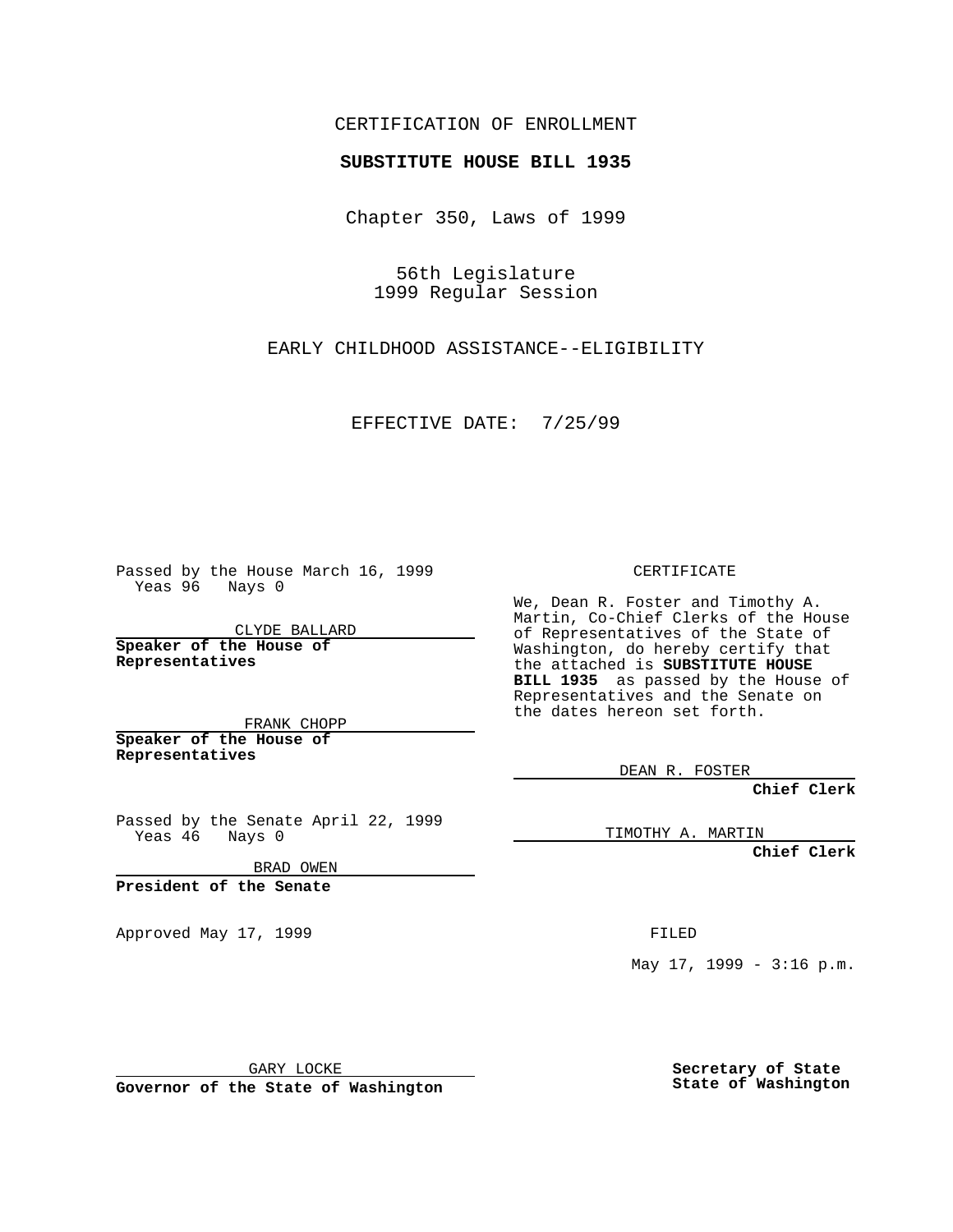## CERTIFICATION OF ENROLLMENT

## **SUBSTITUTE HOUSE BILL 1935**

Chapter 350, Laws of 1999

56th Legislature 1999 Regular Session

EARLY CHILDHOOD ASSISTANCE--ELIGIBILITY

EFFECTIVE DATE: 7/25/99

Passed by the House March 16, 1999 Yeas 96 Nays 0

CLYDE BALLARD **Speaker of the House of Representatives**

FRANK CHOPP **Speaker of the House of Representatives**

Passed by the Senate April 22, 1999 Yeas 46 Nays 0

BRAD OWEN

**President of the Senate**

Approved May 17, 1999 **FILED** 

CERTIFICATE

We, Dean R. Foster and Timothy A. Martin, Co-Chief Clerks of the House of Representatives of the State of Washington, do hereby certify that the attached is **SUBSTITUTE HOUSE BILL 1935** as passed by the House of Representatives and the Senate on the dates hereon set forth.

DEAN R. FOSTER

**Chief Clerk**

TIMOTHY A. MARTIN

**Chief Clerk**

May  $17$ ,  $1999 - 3:16$  p.m.

GARY LOCKE

**Governor of the State of Washington**

**Secretary of State State of Washington**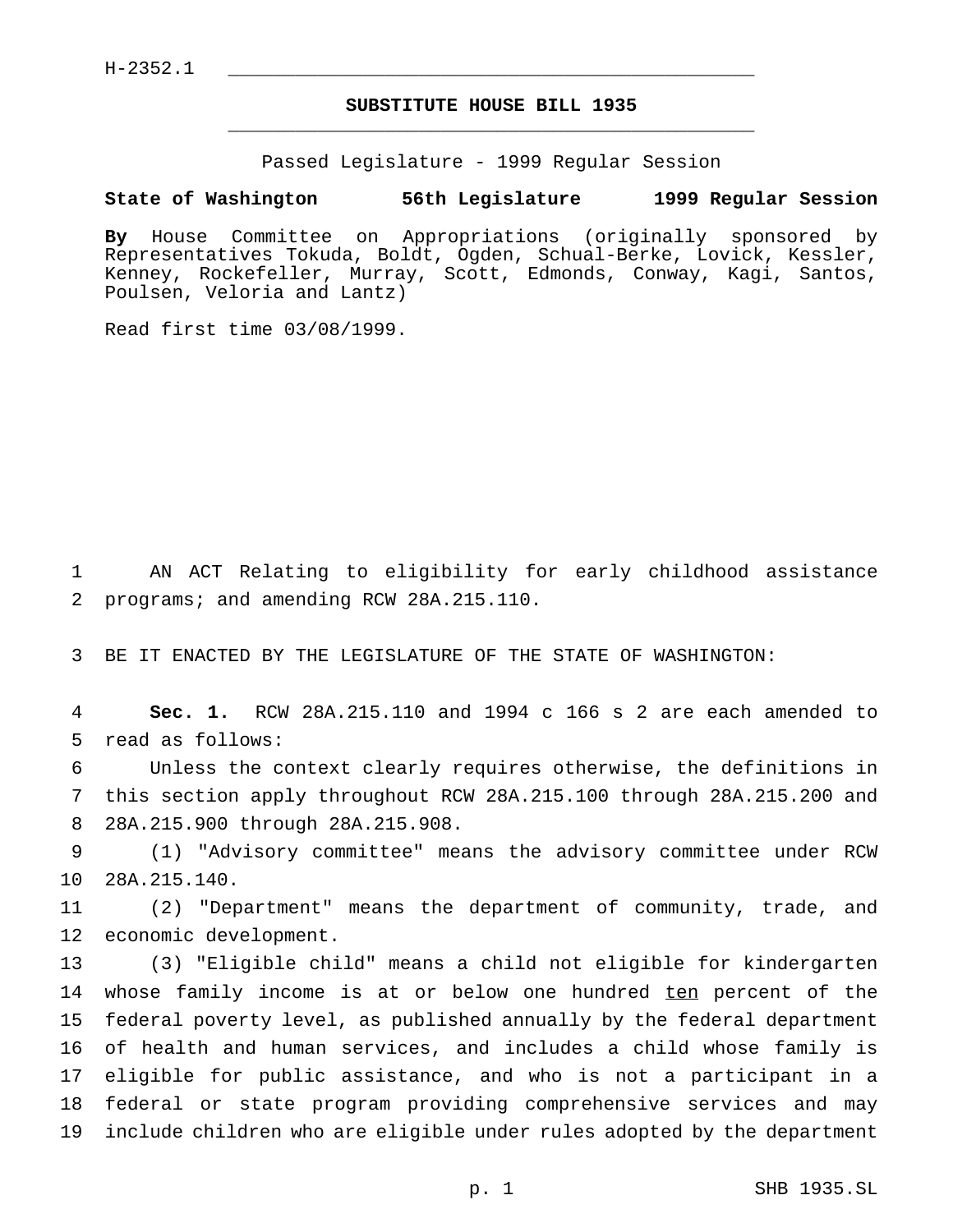$H-2352.1$ 

## **SUBSTITUTE HOUSE BILL 1935** \_\_\_\_\_\_\_\_\_\_\_\_\_\_\_\_\_\_\_\_\_\_\_\_\_\_\_\_\_\_\_\_\_\_\_\_\_\_\_\_\_\_\_\_\_\_\_

Passed Legislature - 1999 Regular Session

## **State of Washington 56th Legislature 1999 Regular Session**

**By** House Committee on Appropriations (originally sponsored by Representatives Tokuda, Boldt, Ogden, Schual-Berke, Lovick, Kessler, Kenney, Rockefeller, Murray, Scott, Edmonds, Conway, Kagi, Santos, Poulsen, Veloria and Lantz)

Read first time 03/08/1999.

1 AN ACT Relating to eligibility for early childhood assistance 2 programs; and amending RCW 28A.215.110.

3 BE IT ENACTED BY THE LEGISLATURE OF THE STATE OF WASHINGTON:

4 **Sec. 1.** RCW 28A.215.110 and 1994 c 166 s 2 are each amended to 5 read as follows:

6 Unless the context clearly requires otherwise, the definitions in 7 this section apply throughout RCW 28A.215.100 through 28A.215.200 and 8 28A.215.900 through 28A.215.908.

9 (1) "Advisory committee" means the advisory committee under RCW 10 28A.215.140.

11 (2) "Department" means the department of community, trade, and 12 economic development.

 (3) "Eligible child" means a child not eligible for kindergarten 14 whose family income is at or below one hundred ten percent of the federal poverty level, as published annually by the federal department of health and human services, and includes a child whose family is eligible for public assistance, and who is not a participant in a federal or state program providing comprehensive services and may include children who are eligible under rules adopted by the department